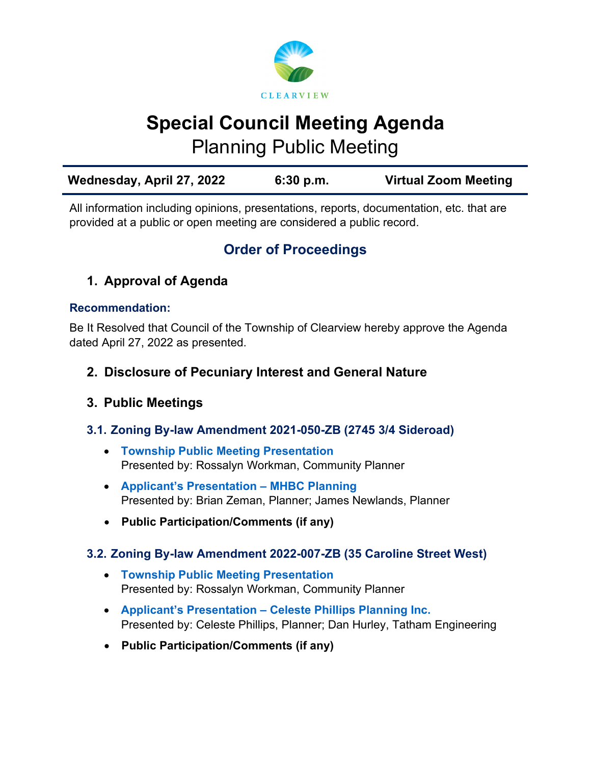

# **Special Council Meeting Agenda**

Planning Public Meeting

| Wednesday, April 27, 2022 | $6:30$ p.m. | <b>Virtual Zoom Meeting</b> |
|---------------------------|-------------|-----------------------------|
|                           |             |                             |

All information including opinions, presentations, reports, documentation, etc. that are provided at a public or open meeting are considered a public record.

## **Order of Proceedings**

## **1. Approval of Agenda**

#### **Recommendation:**

Be It Resolved that Council of the Township of Clearview hereby approve the Agenda dated April 27, 2022 as presented.

### **2. Disclosure of Pecuniary Interest and General Nature**

- **3. Public Meetings**
- **3.1. Zoning By-law Amendment 2021-050-ZB (2745 3/4 Sideroad)**
	- **[Township Public Meeting Presentation](https://www.clearview.ca/sites/default/files/uploads/publications/3.1_file_2021-050-zb_township_presentation.pdf)** Presented by: Rossalyn Workman, Community Planner
	- **[Applicant's Presentation](https://www.clearview.ca/sites/default/files/uploads/publications/3.1_file_2021-050-zb_mhbc_planning_presentation.pdf) – MHBC Planning**  Presented by: Brian Zeman, Planner; James Newlands, Planner
	- **Public Participation/Comments (if any)**

#### **3.2. Zoning By-law Amendment 2022-007-ZB (35 Caroline Street West)**

- **[Township Public Meeting Presentation](https://www.clearview.ca/sites/default/files/uploads/publications/3.2_file_2022-07-zb_township_presentation.pdf)** Presented by: Rossalyn Workman, Community Planner
- **Applicant's Presentation – [Celeste Phillips Planning Inc.](https://www.clearview.ca/sites/default/files/uploads/publications/3.2_file_2022-07-zb_celeste_phillips_presentation.pdf)** Presented by: Celeste Phillips, Planner; Dan Hurley, Tatham Engineering
- **Public Participation/Comments (if any)**